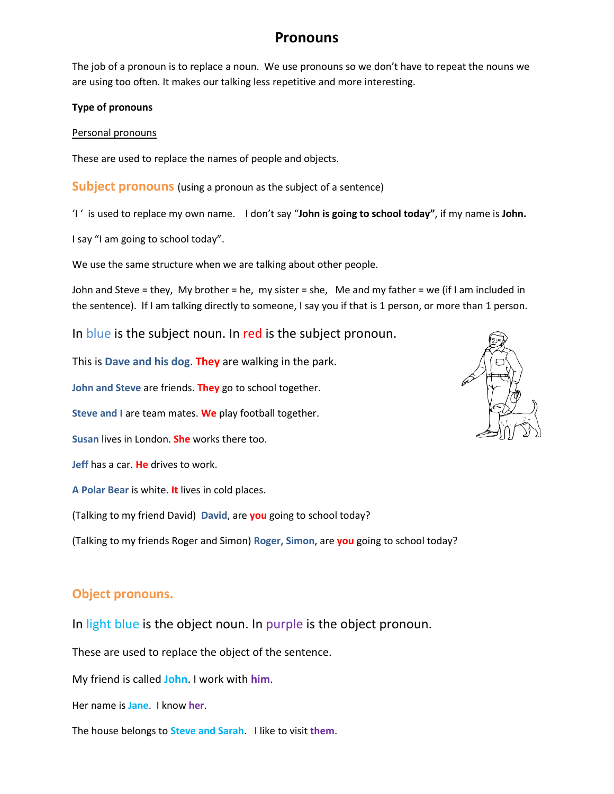# **Pronouns**

The job of a pronoun is to replace a noun. We use pronouns so we don't have to repeat the nouns we are using too often. It makes our talking less repetitive and more interesting.

#### **Type of pronouns**

#### Personal pronouns

These are used to replace the names of people and objects.

**Subject pronouns** (using a pronoun as the subject of a sentence)

'I ' is used to replace my own name. I don't say "**John is going to school today"**, if my name is **John.**

I say "I am going to school today".

We use the same structure when we are talking about other people.

John and Steve = they, My brother = he, my sister = she, Me and my father = we (if I am included in the sentence). If I am talking directly to someone, I say you if that is 1 person, or more than 1 person.

In blue is the subject noun. In red is the subject pronoun.

This is **Dave and his dog**. **They** are walking in the park.

**John and Steve** are friends. **They** go to school together.

**Steve and I** are team mates. **We** play football together.

**Susan** lives in London. **She** works there too.

**Jeff** has a car. **He** drives to work.

**A Polar Bear** is white. **It** lives in cold places.

(Talking to my friend David) **David**, are **you** going to school today?

(Talking to my friends Roger and Simon) **Roger, Simon**, are **you** going to school today?

## **Object pronouns.**

In light blue is the object noun. In purple is the object pronoun.

These are used to replace the object of the sentence.

My friend is called **John**. I work with **him**.

Her name is **Jane**. I know **her**.

The house belongs to **Steve and Sarah**. I like to visit **them**.